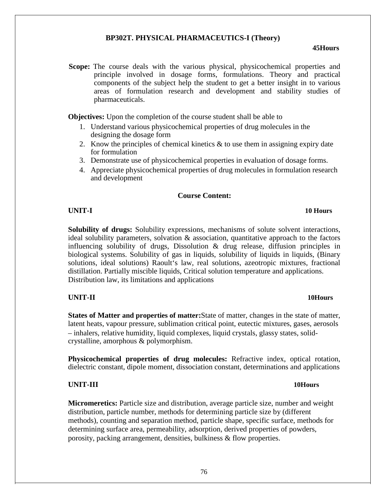# **BP302T. PHYSICAL PHARMACEUTICS-I (Theory)**

### **45Hours**

**Scope:** The course deals with the various physical, physicochemical properties and principle involved in dosage forms, formulations. Theory and practical components of the subject help the student to get a better insight in to various areas of formulation research and development and stability studies of pharmaceuticals.

**Objectives:** Upon the completion of the course student shall be able to

- 1. Understand various physicochemical properties of drug molecules in the designing the dosage form
- 2. Know the principles of chemical kinetics & to use them in assigning expiry date for formulation
- 3. Demonstrate use of physicochemical properties in evaluation of dosage forms.
- 4. Appreciate physicochemical properties of drug molecules in formulation research and development

## **Course Content:**

**Solubility of drugs:** Solubility expressions, mechanisms of solute solvent interactions, ideal solubility parameters, solvation  $\&$  association, quantitative approach to the factors influencing solubility of drugs, Dissolution & drug release, diffusion principles in biological systems. Solubility of gas in liquids, solubility of liquids in liquids, (Binary solutions, ideal solutions) Raoult's law, real solutions, azeotropic mixtures, fractional distillation. Partially miscible liquids, Critical solution temperature and applications. Distribution law, its limitations and applications

## **UNIT-II 10Hours**

**States of Matter and properties of matter:**State of matter, changes in the state of matter, latent heats, vapour pressure, sublimation critical point, eutectic mixtures, gases, aerosols – inhalers, relative humidity, liquid complexes, liquid crystals, glassy states, solidcrystalline, amorphous & polymorphism.

**Physicochemical properties of drug molecules:** Refractive index, optical rotation, dielectric constant, dipole moment, dissociation constant, determinations and applications

# **UNIT-III 10Hours**

**Micromeretics:** Particle size and distribution, average particle size, number and weight distribution, particle number, methods for determining particle size by (different methods), counting and separation method, particle shape, specific surface, methods for determining surface area, permeability, adsorption, derived properties of powders, porosity, packing arrangement, densities, bulkiness & flow properties.

### **UNIT-I 10 Hours**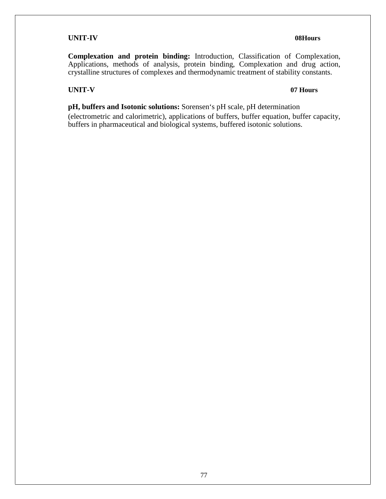# **UNIT-IV 08Hours**

**Complexation and protein binding:** Introduction, Classification of Complexation, Applications, methods of analysis, protein binding, Complexation and drug action, crystalline structures of complexes and thermodynamic treatment of stability constants.

# **UNIT-V 07 Hours**

**pH, buffers and Isotonic solutions:** Sorensen's pH scale, pH determination (electrometric and calorimetric), applications of buffers, buffer equation, buffer capacity, buffers in pharmaceutical and biological systems, buffered isotonic solutions.